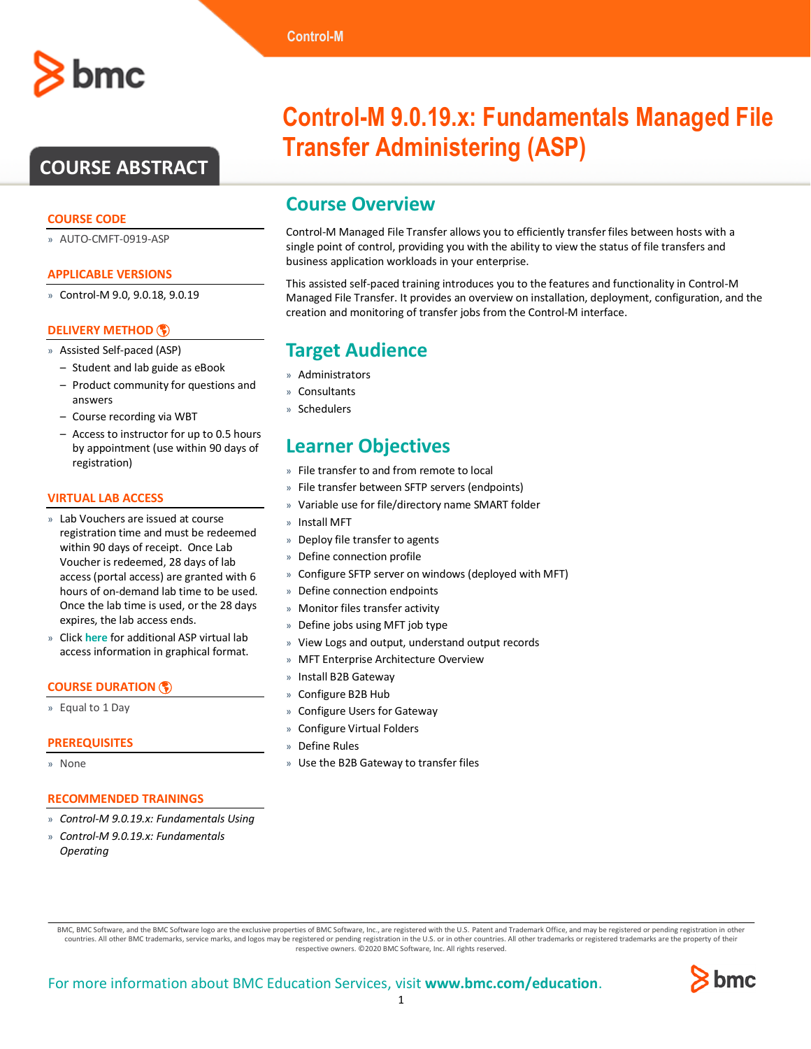# **COURSE ABSTRACT**

# **COURSE CODE**

» AUTO-CMFT-0919-ASP

### **APPLICABLE VERSIONS**

» Control-M 9.0, 9.0.18, 9.0.19

# **[DELIVERY METHOD](http://www.bmc.com/education/modality.html)**

- » Assisted Self-paced (ASP)
- Student and lab guide as eBook
- Product community for questions and answers
- Course recording via WBT
- Access to instructor for up to 0.5 hours by appointment (use within 90 days of registration)

#### **VIRTUAL LAB ACCESS**

- » Lab Vouchers are issued at course registration time and must be redeemed within 90 days of receipt. Once Lab Voucher is redeemed, 28 days of lab access (portal access) are granted with 6 hours of on-demand lab time to be used. Once the lab time is used, or the 28 days expires, the lab access ends.
- » Click **[here](http://documents.bmc.com/products/documents/37/48/493748/493748.pdf)** for additional ASP virtual lab access information in graphical format.

#### **[COURSE DURATION](http://www.bmc.com/education/learning-paths/education-filters-learning-paths.html)**

» Equal to 1 Day

#### **PREREQUISITES**

» None

## **RECOMMENDED TRAININGS**

- » *Control-M 9.0.19.x: Fundamentals Using*
- » *Control-M 9.0.19.x: Fundamentals Operating*

# **Control-M 9.0.19.x: Fundamentals Managed File Transfer Administering (ASP)**

# **Course Overview**

Control-M Managed File Transfer allows you to efficiently transfer files between hosts with a single point of control, providing you with the ability to view the status of file transfers and business application workloads in your enterprise.

This assisted self-paced training introduces you to the features and functionality in Control-M Managed File Transfer. It provides an overview on installation, deployment, configuration, and the creation and monitoring of transfer jobs from the Control-M interface.

# **Target Audience**

- » Administrators
- » Consultants
- » Schedulers

# **Learner Objectives**

- » File transfer to and from remote to local
- » File transfer between SFTP servers (endpoints)
- » Variable use for file/directory name SMART folder
- » Install MFT
- » Deploy file transfer to agents
- » Define connection profile
- » Configure SFTP server on windows (deployed with MFT)
- » Define connection endpoints
- » Monitor files transfer activity
- » Define jobs using MFT job type
- » View Logs and output, understand output records
- » MFT Enterprise Architecture Overview
- » Install B2B Gateway
- » Configure B2B Hub
- » Configure Users for Gateway
- » Configure Virtual Folders
- » Define Rules
- » Use the B2B Gateway to transfer files

BMC, BMC Software, and the BMC Software logo are the exclusive properties of BMC Software, Inc., are registered with the U.S. Patent and Trademark Office, and may be registered or pending registration in other countries. All other BMC trademarks, service marks, and logos may be registered or pending registration in the U.S. or in other countries. All other trademarks or registered trademarks are the property of their respective owners. ©2020 BMC Software, Inc. All rights reserved.